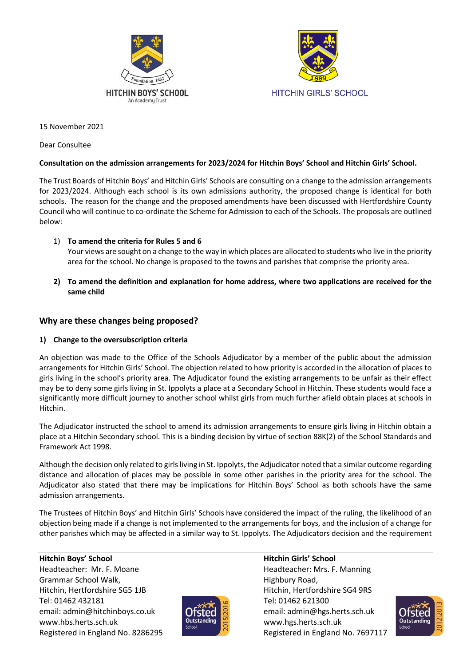



15 November 2021

Dear Consultee

# **Consultation on the admission arrangements for 2023/2024 for Hitchin Boys' School and Hitchin Girls' School.**

The Trust Boards of Hitchin Boys' and Hitchin Girls' Schools are consulting on a change to the admission arrangements for 2023/2024. Although each school is its own admissions authority, the proposed change is identical for both schools. The reason for the change and the proposed amendments have been discussed with Hertfordshire County Council who will continue to co-ordinate the Scheme for Admission to each of the Schools. The proposals are outlined below:

1) **To amend the criteria for Rules 5 and 6** 

Your views are sought on a change to the way in which places are allocated to students who live in the priority area for the school. No change is proposed to the towns and parishes that comprise the priority area.

**2) To amend the definition and explanation for home address, where two applications are received for the same child**

# **Why are these changes being proposed?**

## **1) Change to the oversubscription criteria**

An objection was made to the Office of the Schools Adjudicator by a member of the public about the admission arrangements for Hitchin Girls' School. The objection related to how priority is accorded in the allocation of places to girls living in the school's priority area. The Adjudicator found the existing arrangements to be unfair as their effect may be to deny some girls living in St. Ippolyts a place at a Secondary School in Hitchin. These students would face a significantly more difficult journey to another school whilst girls from much further afield obtain places at schools in Hitchin.

The Adjudicator instructed the school to amend its admission arrangements to ensure girls living in Hitchin obtain a place at a Hitchin Secondary school. This is a binding decision by virtue of section 88K(2) of the School Standards and Framework Act 1998.

Although the decision only related to girls living in St. Ippolyts, the Adjudicator noted that a similar outcome regarding distance and allocation of places may be possible in some other parishes in the priority area for the school. The Adjudicator also stated that there may be implications for Hitchin Boys' School as both schools have the same admission arrangements.

The Trustees of Hitchin Boys' and Hitchin Girls' Schools have considered the impact of the ruling, the likelihood of an objection being made if a change is not implemented to the arrangements for boys, and the inclusion of a change for other parishes which may be affected in a similar way to St. Ippolyts. The Adjudicators decision and the requirement

Headteacher: Mr. F. Moane **Headteacher: Mrs. F. Manning** Grammar School Walk, The Control of the Highbury Road, Highbury Road, Hitchin, Hertfordshire SG5 1JB Hitchin, Hertfordshire SG4 9RS Tel: 01462 432181 Tel: 01462 621300 email: admin@hitchinboys.co.uk **CHSTerLand R** email: admin@hgs.herts.sch.uk www.hbs.herts.sch.uk **www.htmlukerty.com** www.hgs.herts.sch.uk Registered in England No. 8286295 Registered in England No. 7697117



# **Hitchin Boys' School Hitchin Girls' School**

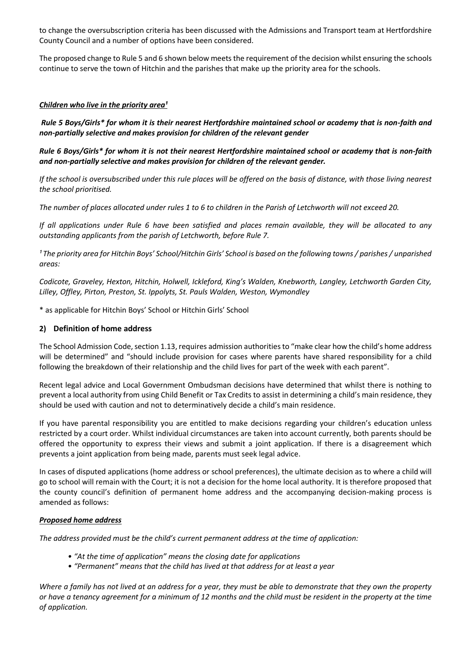to change the oversubscription criteria has been discussed with the Admissions and Transport team at Hertfordshire County Council and a number of options have been considered.

The proposed change to Rule 5 and 6 shown below meets the requirement of the decision whilst ensuring the schools continue to serve the town of Hitchin and the parishes that make up the priority area for the schools.

### *Children who live in the priority area<sup>1</sup>*

*Rule 5 Boys/Girls\* for whom it is their nearest Hertfordshire maintained school or academy that is non-faith and non-partially selective and makes provision for children of the relevant gender*

*Rule 6 Boys/Girls\* for whom it is not their nearest Hertfordshire maintained school or academy that is non-faith and non-partially selective and makes provision for children of the relevant gender.*

*If the school is oversubscribed under this rule places will be offered on the basis of distance, with those living nearest the school prioritised.*

*The number of places allocated under rules 1 to 6 to children in the Parish of Letchworth will not exceed 20.*

*If all applications under Rule 6 have been satisfied and places remain available, they will be allocated to any outstanding applicants from the parish of Letchworth, before Rule 7.*

*¹ The priority area for Hitchin Boys' School/Hitchin Girls' School is based on the following towns / parishes / unparished areas:* 

*Codicote, Graveley, Hexton, Hitchin, Holwell, Ickleford, King's Walden, Knebworth, Langley, Letchworth Garden City, Lilley, Offley, Pirton, Preston, St. Ippolyts, St. Pauls Walden, Weston, Wymondley*

\* as applicable for Hitchin Boys' School or Hitchin Girls' School

### **2) Definition of home address**

The School Admission Code, section 1.13, requires admission authorities to "make clear how the child's home address will be determined" and "should include provision for cases where parents have shared responsibility for a child following the breakdown of their relationship and the child lives for part of the week with each parent".

Recent legal advice and Local Government Ombudsman decisions have determined that whilst there is nothing to prevent a local authority from using Child Benefit or Tax Credits to assist in determining a child's main residence, they should be used with caution and not to determinatively decide a child's main residence.

If you have parental responsibility you are entitled to make decisions regarding your children's education unless restricted by a court order. Whilst individual circumstances are taken into account currently, both parents should be offered the opportunity to express their views and submit a joint application. If there is a disagreement which prevents a joint application from being made, parents must seek legal advice.

In cases of disputed applications (home address or school preferences), the ultimate decision as to where a child will go to school will remain with the Court; it is not a decision for the home local authority. It is therefore proposed that the county council's definition of permanent home address and the accompanying decision-making process is amended as follows:

#### *Proposed home address*

*The address provided must be the child's current permanent address at the time of application:*

- *"At the time of application" means the closing date for applications*
- *"Permanent" means that the child has lived at that address for at least a year*

*Where a family has not lived at an address for a year, they must be able to demonstrate that they own the property or have a tenancy agreement for a minimum of 12 months and the child must be resident in the property at the time of application.*